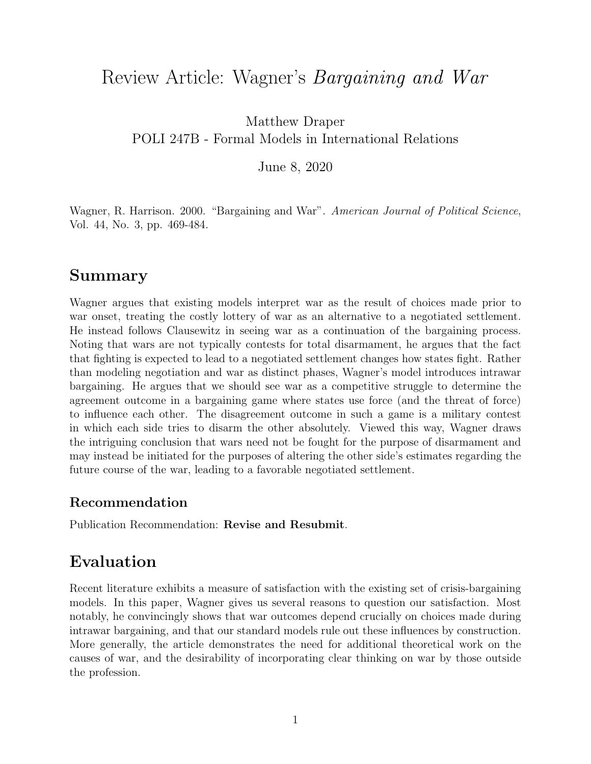# <span id="page-0-0"></span>Review Article: Wagner's Bargaining and War

Matthew Draper POLI 247B - Formal Models in International Relations

June 8, 2020

Wagner, R. Harrison. 2000. "Bargaining and War". American Journal of Political Science, Vol. 44, No. 3, pp. 469-484.

## Summary

Wagner argues that existing models interpret war as the result of choices made prior to war onset, treating the costly lottery of war as an alternative to a negotiated settlement. He instead follows Clausewitz in seeing war as a continuation of the bargaining process. Noting that wars are not typically contests for total disarmament, he argues that the fact that fighting is expected to lead to a negotiated settlement changes how states fight. Rather than modeling negotiation and war as distinct phases, Wagner's model introduces intrawar bargaining. He argues that we should see war as a competitive struggle to determine the agreement outcome in a bargaining game where states use force (and the threat of force) to influence each other. The disagreement outcome in such a game is a military contest in which each side tries to disarm the other absolutely. Viewed this way, Wagner draws the intriguing conclusion that wars need not be fought for the purpose of disarmament and may instead be initiated for the purposes of altering the other side's estimates regarding the future course of the war, leading to a favorable negotiated settlement.

#### Recommendation

Publication Recommendation: Revise and Resubmit.

# Evaluation

Recent literature exhibits a measure of satisfaction with the existing set of crisis-bargaining models. In this paper, Wagner gives us several reasons to question our satisfaction. Most notably, he convincingly shows that war outcomes depend crucially on choices made during intrawar bargaining, and that our standard models rule out these influences by construction. More generally, the article demonstrates the need for additional theoretical work on the causes of war, and the desirability of incorporating clear thinking on war by those outside the profession.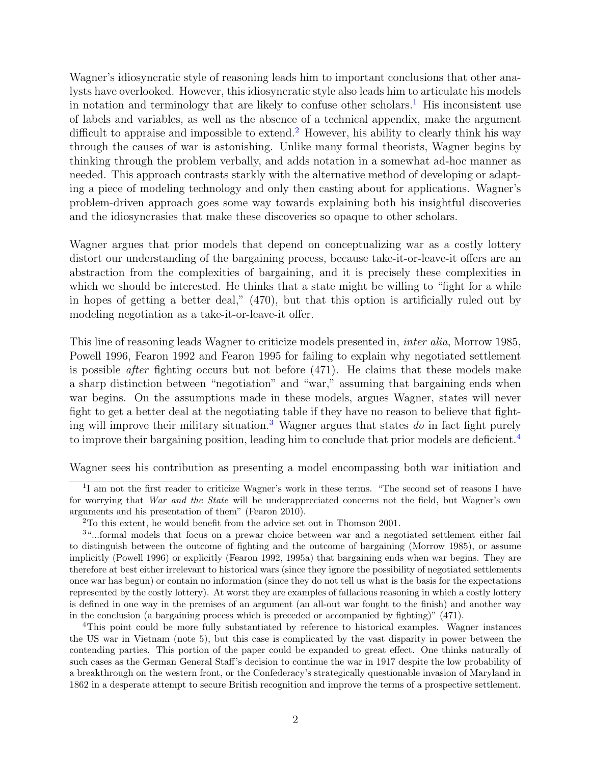Wagner's idiosyncratic style of reasoning leads him to important conclusions that other analysts have overlooked. However, this idiosyncratic style also leads him to articulate his models in notation and terminology that are likely to confuse other scholars.<sup>[1](#page-0-0)</sup> His inconsistent use of labels and variables, as well as the absence of a technical appendix, make the argument difficult to appraise and impossible to extend.<sup>[2](#page-0-0)</sup> However, his ability to clearly think his way through the causes of war is astonishing. Unlike many formal theorists, Wagner begins by thinking through the problem verbally, and adds notation in a somewhat ad-hoc manner as needed. This approach contrasts starkly with the alternative method of developing or adapting a piece of modeling technology and only then casting about for applications. Wagner's problem-driven approach goes some way towards explaining both his insightful discoveries and the idiosyncrasies that make these discoveries so opaque to other scholars.

Wagner argues that prior models that depend on conceptualizing war as a costly lottery distort our understanding of the bargaining process, because take-it-or-leave-it offers are an abstraction from the complexities of bargaining, and it is precisely these complexities in which we should be interested. He thinks that a state might be willing to "fight for a while in hopes of getting a better deal," (470), but that this option is artificially ruled out by modeling negotiation as a take-it-or-leave-it offer.

This line of reasoning leads Wagner to criticize models presented in, inter alia, Morrow 1985, Powell 1996, Fearon 1992 and Fearon 1995 for failing to explain why negotiated settlement is possible *after* fighting occurs but not before  $(471)$ . He claims that these models make a sharp distinction between "negotiation" and "war," assuming that bargaining ends when war begins. On the assumptions made in these models, argues Wagner, states will never fight to get a better deal at the negotiating table if they have no reason to believe that fight-ing will improve their military situation.<sup>[3](#page-0-0)</sup> Wagner argues that states do in fact fight purely to improve their bargaining position, leading him to conclude that prior models are deficient.<sup>[4](#page-0-0)</sup>

Wagner sees his contribution as presenting a model encompassing both war initiation and

<sup>&</sup>lt;sup>1</sup>I am not the first reader to criticize Wagner's work in these terms. "The second set of reasons I have for worrying that War and the State will be underappreciated concerns not the field, but Wagner's own arguments and his presentation of them" (Fearon 2010).

<sup>2</sup>To this extent, he would benefit from the advice set out in Thomson 2001.

<sup>3</sup>"...formal models that focus on a prewar choice between war and a negotiated settlement either fail to distinguish between the outcome of fighting and the outcome of bargaining (Morrow 1985), or assume implicitly (Powell 1996) or explicitly (Fearon 1992, 1995a) that bargaining ends when war begins. They are therefore at best either irrelevant to historical wars (since they ignore the possibility of negotiated settlements once war has begun) or contain no information (since they do not tell us what is the basis for the expectations represented by the costly lottery). At worst they are examples of fallacious reasoning in which a costly lottery is defined in one way in the premises of an argument (an all-out war fought to the finish) and another way in the conclusion (a bargaining process which is preceded or accompanied by fighting)" (471).

<sup>4</sup>This point could be more fully substantiated by reference to historical examples. Wagner instances the US war in Vietnam (note 5), but this case is complicated by the vast disparity in power between the contending parties. This portion of the paper could be expanded to great effect. One thinks naturally of such cases as the German General Staff's decision to continue the war in 1917 despite the low probability of a breakthrough on the western front, or the Confederacy's strategically questionable invasion of Maryland in 1862 in a desperate attempt to secure British recognition and improve the terms of a prospective settlement.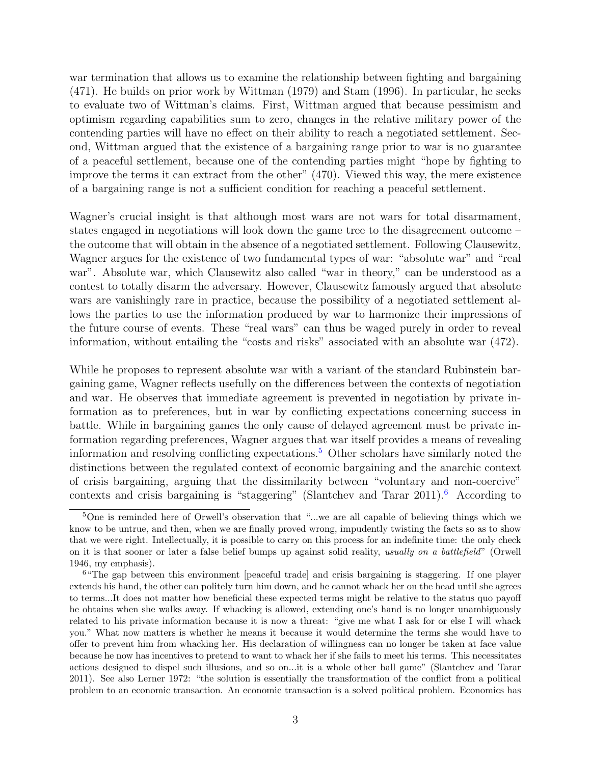war termination that allows us to examine the relationship between fighting and bargaining (471). He builds on prior work by Wittman (1979) and Stam (1996). In particular, he seeks to evaluate two of Wittman's claims. First, Wittman argued that because pessimism and optimism regarding capabilities sum to zero, changes in the relative military power of the contending parties will have no effect on their ability to reach a negotiated settlement. Second, Wittman argued that the existence of a bargaining range prior to war is no guarantee of a peaceful settlement, because one of the contending parties might "hope by fighting to improve the terms it can extract from the other" (470). Viewed this way, the mere existence of a bargaining range is not a sufficient condition for reaching a peaceful settlement.

Wagner's crucial insight is that although most wars are not wars for total disarmament, states engaged in negotiations will look down the game tree to the disagreement outcome – the outcome that will obtain in the absence of a negotiated settlement. Following Clausewitz, Wagner argues for the existence of two fundamental types of war: "absolute war" and "real war". Absolute war, which Clausewitz also called "war in theory," can be understood as a contest to totally disarm the adversary. However, Clausewitz famously argued that absolute wars are vanishingly rare in practice, because the possibility of a negotiated settlement allows the parties to use the information produced by war to harmonize their impressions of the future course of events. These "real wars" can thus be waged purely in order to reveal information, without entailing the "costs and risks" associated with an absolute war (472).

While he proposes to represent absolute war with a variant of the standard Rubinstein bargaining game, Wagner reflects usefully on the differences between the contexts of negotiation and war. He observes that immediate agreement is prevented in negotiation by private information as to preferences, but in war by conflicting expectations concerning success in battle. While in bargaining games the only cause of delayed agreement must be private information regarding preferences, Wagner argues that war itself provides a means of revealing information and resolving conflicting expectations.[5](#page-0-0) Other scholars have similarly noted the distinctions between the regulated context of economic bargaining and the anarchic context of crisis bargaining, arguing that the dissimilarity between "voluntary and non-coercive" contexts and crisis bargaining is "staggering" (Slantchev and Tarar  $2011$ ).<sup>[6](#page-0-0)</sup> According to

<sup>5</sup>One is reminded here of Orwell's observation that "...we are all capable of believing things which we know to be untrue, and then, when we are finally proved wrong, impudently twisting the facts so as to show that we were right. Intellectually, it is possible to carry on this process for an indefinite time: the only check on it is that sooner or later a false belief bumps up against solid reality, usually on a battlefield" (Orwell 1946, my emphasis).

<sup>&</sup>lt;sup>6</sup> "The gap between this environment [peaceful trade] and crisis bargaining is staggering. If one player extends his hand, the other can politely turn him down, and he cannot whack her on the head until she agrees to terms...It does not matter how beneficial these expected terms might be relative to the status quo payoff he obtains when she walks away. If whacking is allowed, extending one's hand is no longer unambiguously related to his private information because it is now a threat: "give me what I ask for or else I will whack you." What now matters is whether he means it because it would determine the terms she would have to offer to prevent him from whacking her. His declaration of willingness can no longer be taken at face value because he now has incentives to pretend to want to whack her if she fails to meet his terms. This necessitates actions designed to dispel such illusions, and so on...it is a whole other ball game" (Slantchev and Tarar 2011). See also Lerner 1972: "the solution is essentially the transformation of the conflict from a political problem to an economic transaction. An economic transaction is a solved political problem. Economics has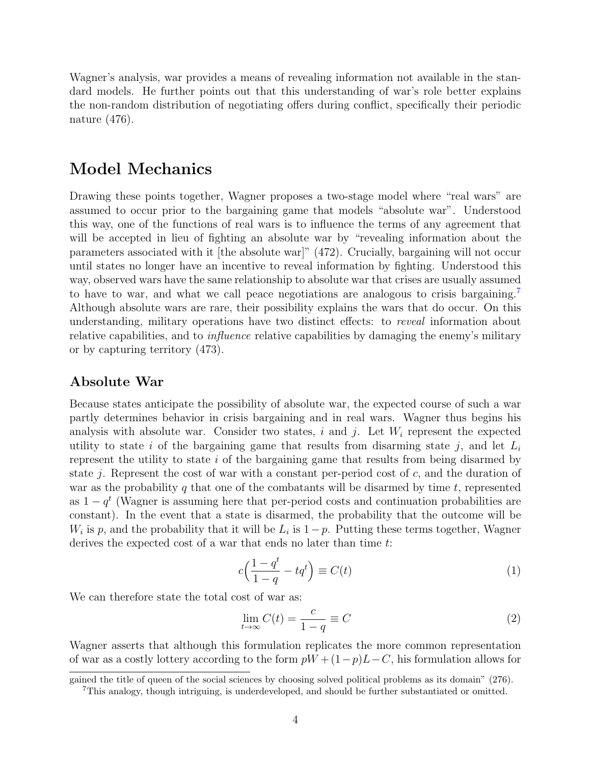Wagner's analysis, war provides a means of revealing information not available in the standard models. He further points out that this understanding of war's role better explains the non-random distribution of negotiating offers during conflict, specifically their periodic nature (476).

### Model Mechanics

Drawing these points together, Wagner proposes a two-stage model where "real wars" are assumed to occur prior to the bargaining game that models "absolute war". Understood this way, one of the functions of real wars is to influence the terms of any agreement that will be accepted in lieu of fighting an absolute war by "revealing information about the parameters associated with it [the absolute war]" (472). Crucially, bargaining will not occur until states no longer have an incentive to reveal information by fighting. Understood this way, observed wars have the same relationship to absolute war that crises are usually assumed to have to war, and what we call peace negotiations are analogous to crisis bargaining. Although absolute wars are rare, their possibility explains the wars that do occur. On this understanding, military operations have two distinct effects: to reveal information about relative capabilities, and to influence relative capabilities by damaging the enemy's military or by capturing territory (473).

#### Absolute War

Because states anticipate the possibility of absolute war, the expected course of such a war partly determines behavior in crisis bargaining and in real wars. Wagner thus begins his analysis with absolute war. Consider two states, i and j. Let  $W_i$  represent the expected utility to state i of the bargaining game that results from disarming state j, and let  $L_i$ represent the utility to state i of the bargaining game that results from being disarmed by state j. Represent the cost of war with a constant per-period cost of  $c$ , and the duration of war as the probability q that one of the combatants will be disarmed by time  $t$ , represented as  $1 - q^t$  (Wagner is assuming here that per-period costs and continuation probabilities are constant). In the event that a state is disarmed, the probability that the outcome will be  $W_i$  is p, and the probability that it will be  $L_i$  is  $1-p$ . Putting these terms together, Wagner derives the expected cost of a war that ends no later than time t:

$$
c\left(\frac{1-q^t}{1-q} - tq^t\right) \equiv C(t) \tag{1}
$$

We can therefore state the total cost of war as:

$$
\lim_{t \to \infty} C(t) = \frac{c}{1 - q} \equiv C \tag{2}
$$

Wagner asserts that although this formulation replicates the more common representation of war as a costly lottery according to the form  $pW + (1-p)L-C$ , his formulation allows for

gained the title of queen of the social sciences by choosing solved political problems as its domain" (276).

<sup>7</sup>This analogy, though intriguing, is underdeveloped, and should be further substantiated or omitted.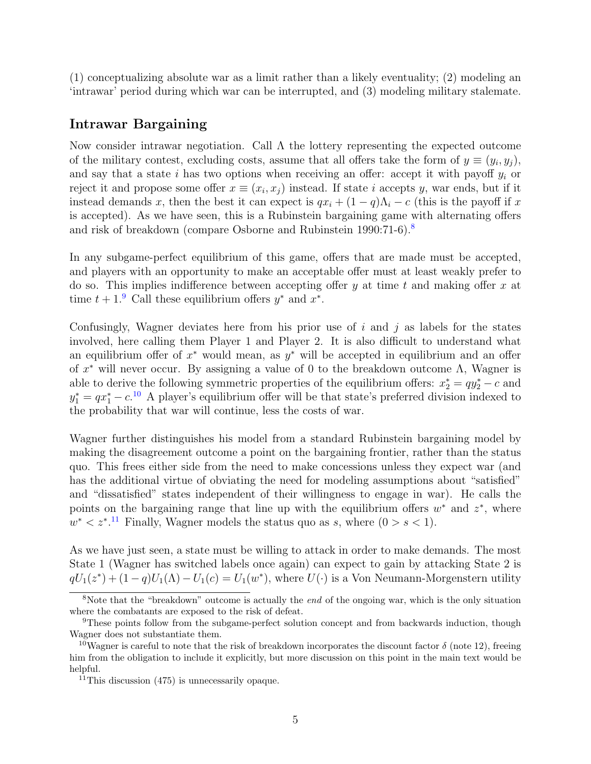(1) conceptualizing absolute war as a limit rather than a likely eventuality; (2) modeling an 'intrawar' period during which war can be interrupted, and (3) modeling military stalemate.

#### Intrawar Bargaining

Now consider intrawar negotiation. Call  $\Lambda$  the lottery representing the expected outcome of the military contest, excluding costs, assume that all offers take the form of  $y \equiv (y_i, y_j)$ , and say that a state i has two options when receiving an offer: accept it with payoff  $y_i$  or reject it and propose some offer  $x \equiv (x_i, x_j)$  instead. If state i accepts y, war ends, but if it instead demands x, then the best it can expect is  $qx_i + (1 - q)\Lambda_i - c$  (this is the payoff if x is accepted). As we have seen, this is a Rubinstein bargaining game with alternating offers and risk of breakdown (compare Osborne and Rubinstein 1990:71-6).[8](#page-0-0)

In any subgame-perfect equilibrium of this game, offers that are made must be accepted, and players with an opportunity to make an acceptable offer must at least weakly prefer to do so. This implies indifference between accepting offer  $y$  at time  $t$  and making offer  $x$  at time  $t + 1$ <sup>[9](#page-0-0)</sup> Call these equilibrium offers  $y^*$  and  $x^*$ .

Confusingly, Wagner deviates here from his prior use of  $i$  and  $j$  as labels for the states involved, here calling them Player 1 and Player 2. It is also difficult to understand what an equilibrium offer of  $x^*$  would mean, as  $y^*$  will be accepted in equilibrium and an offer of  $x^*$  will never occur. By assigning a value of 0 to the breakdown outcome  $\Lambda$ , Wagner is able to derive the following symmetric properties of the equilibrium offers:  $x_2^* = qy_2^* - c$  and  $y_1^* = qx_1^* - c^{10}$  $y_1^* = qx_1^* - c^{10}$  $y_1^* = qx_1^* - c^{10}$  A player's equilibrium offer will be that state's preferred division indexed to the probability that war will continue, less the costs of war.

Wagner further distinguishes his model from a standard Rubinstein bargaining model by making the disagreement outcome a point on the bargaining frontier, rather than the status quo. This frees either side from the need to make concessions unless they expect war (and has the additional virtue of obviating the need for modeling assumptions about "satisfied" and "dissatisfied" states independent of their willingness to engage in war). He calls the points on the bargaining range that line up with the equilibrium offers  $w^*$  and  $z^*$ , where  $w^* < z^{*.11}$  $w^* < z^{*.11}$  $w^* < z^{*.11}$  Finally, Wagner models the status quo as s, where  $(0 > s < 1)$ .

As we have just seen, a state must be willing to attack in order to make demands. The most State 1 (Wagner has switched labels once again) can expect to gain by attacking State 2 is  $qU_1(z^*) + (1-q)U_1(\Lambda) - U_1(c) = U_1(w^*)$ , where  $U(\cdot)$  is a Von Neumann-Morgenstern utility

<sup>&</sup>lt;sup>8</sup>Note that the "breakdown" outcome is actually the *end* of the ongoing war, which is the only situation where the combatants are exposed to the risk of defeat.

<sup>&</sup>lt;sup>9</sup>These points follow from the subgame-perfect solution concept and from backwards induction, though Wagner does not substantiate them.

<sup>&</sup>lt;sup>10</sup>Wagner is careful to note that the risk of breakdown incorporates the discount factor  $\delta$  (note 12), freeing him from the obligation to include it explicitly, but more discussion on this point in the main text would be helpful.

 $11$ This discussion (475) is unnecessarily opaque.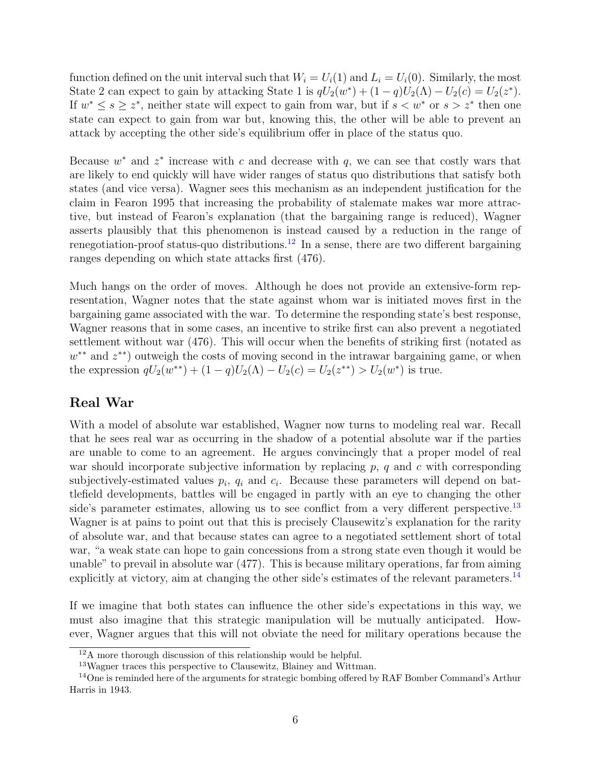function defined on the unit interval such that  $W_i = U_i(1)$  and  $L_i = U_i(0)$ . Similarly, the most State 2 can expect to gain by attacking State 1 is  $qU_2(w^*) + (1-q)U_2(\Lambda) - U_2(c) = U_2(z^*)$ . If  $w^* \leq s \geq z^*$ , neither state will expect to gain from war, but if  $s < w^*$  or  $s > z^*$  then one state can expect to gain from war but, knowing this, the other will be able to prevent an attack by accepting the other side's equilibrium offer in place of the status quo.

Because  $w^*$  and  $z^*$  increase with c and decrease with q, we can see that costly wars that are likely to end quickly will have wider ranges of status quo distributions that satisfy both states (and vice versa). Wagner sees this mechanism as an independent justification for the claim in Fearon 1995 that increasing the probability of stalemate makes war more attractive, but instead of Fearon's explanation (that the bargaining range is reduced), Wagner asserts plausibly that this phenomenon is instead caused by a reduction in the range of renegotiation-proof status-quo distributions.<sup>[12](#page-0-0)</sup> In a sense, there are two different bargaining ranges depending on which state attacks first (476).

Much hangs on the order of moves. Although he does not provide an extensive-form representation, Wagner notes that the state against whom war is initiated moves first in the bargaining game associated with the war. To determine the responding state's best response, Wagner reasons that in some cases, an incentive to strike first can also prevent a negotiated settlement without war (476). This will occur when the benefits of striking first (notated as w<sup>\*\*</sup> and z<sup>\*\*</sup>) outweigh the costs of moving second in the intrawar bargaining game, or when the expression  $qU_2(w^{**}) + (1-q)U_2(\Lambda) - U_2(c) = U_2(z^{**}) > U_2(w^*)$  is true.

#### Real War

With a model of absolute war established, Wagner now turns to modeling real war. Recall that he sees real war as occurring in the shadow of a potential absolute war if the parties are unable to come to an agreement. He argues convincingly that a proper model of real war should incorporate subjective information by replacing  $p$ ,  $q$  and  $c$  with corresponding subjectively-estimated values  $p_i$ ,  $q_i$  and  $c_i$ . Because these parameters will depend on battlefield developments, battles will be engaged in partly with an eye to changing the other side's parameter estimates, allowing us to see conflict from a very different perspective.<sup>[13](#page-0-0)</sup> Wagner is at pains to point out that this is precisely Clausewitz's explanation for the rarity of absolute war, and that because states can agree to a negotiated settlement short of total war, "a weak state can hope to gain concessions from a strong state even though it would be unable" to prevail in absolute war (477). This is because military operations, far from aiming explicitly at victory, aim at changing the other side's estimates of the relevant parameters.[14](#page-0-0)

If we imagine that both states can influence the other side's expectations in this way, we must also imagine that this strategic manipulation will be mutually anticipated. However, Wagner argues that this will not obviate the need for military operations because the

<sup>12</sup>A more thorough discussion of this relationship would be helpful.

<sup>13</sup>Wagner traces this perspective to Clausewitz, Blainey and Wittman.

 $14$ One is reminded here of the arguments for strategic bombing offered by RAF Bomber Command's Arthur Harris in 1943.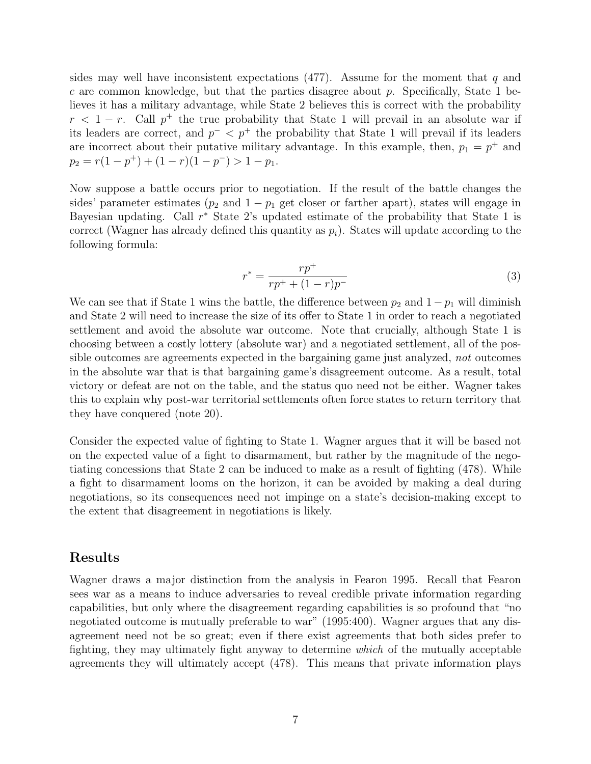sides may well have inconsistent expectations  $(477)$ . Assume for the moment that q and c are common knowledge, but that the parties disagree about  $p$ . Specifically, State 1 believes it has a military advantage, while State 2 believes this is correct with the probability  $r < 1 - r$ . Call  $p^+$  the true probability that State 1 will prevail in an absolute war if its leaders are correct, and  $p^{-} < p^{+}$  the probability that State 1 will prevail if its leaders are incorrect about their putative military advantage. In this example, then,  $p_1 = p^+$  and  $p_2 = r(1 - p^+) + (1 - r)(1 - p^-) > 1 - p_1.$ 

Now suppose a battle occurs prior to negotiation. If the result of the battle changes the sides' parameter estimates ( $p_2$  and  $1 - p_1$  get closer or farther apart), states will engage in Bayesian updating. Call  $r^*$  State 2's updated estimate of the probability that State 1 is correct (Wagner has already defined this quantity as  $p_i$ ). States will update according to the following formula:

$$
r^* = \frac{rp^+}{rp^+ + (1-r)p^-}
$$
\n(3)

We can see that if State 1 wins the battle, the difference between  $p_2$  and  $1-p_1$  will diminish and State 2 will need to increase the size of its offer to State 1 in order to reach a negotiated settlement and avoid the absolute war outcome. Note that crucially, although State 1 is choosing between a costly lottery (absolute war) and a negotiated settlement, all of the possible outcomes are agreements expected in the bargaining game just analyzed, not outcomes in the absolute war that is that bargaining game's disagreement outcome. As a result, total victory or defeat are not on the table, and the status quo need not be either. Wagner takes this to explain why post-war territorial settlements often force states to return territory that they have conquered (note 20).

Consider the expected value of fighting to State 1. Wagner argues that it will be based not on the expected value of a fight to disarmament, but rather by the magnitude of the negotiating concessions that State 2 can be induced to make as a result of fighting (478). While a fight to disarmament looms on the horizon, it can be avoided by making a deal during negotiations, so its consequences need not impinge on a state's decision-making except to the extent that disagreement in negotiations is likely.

#### Results

Wagner draws a major distinction from the analysis in Fearon 1995. Recall that Fearon sees war as a means to induce adversaries to reveal credible private information regarding capabilities, but only where the disagreement regarding capabilities is so profound that "no negotiated outcome is mutually preferable to war" (1995:400). Wagner argues that any disagreement need not be so great; even if there exist agreements that both sides prefer to fighting, they may ultimately fight anyway to determine which of the mutually acceptable agreements they will ultimately accept (478). This means that private information plays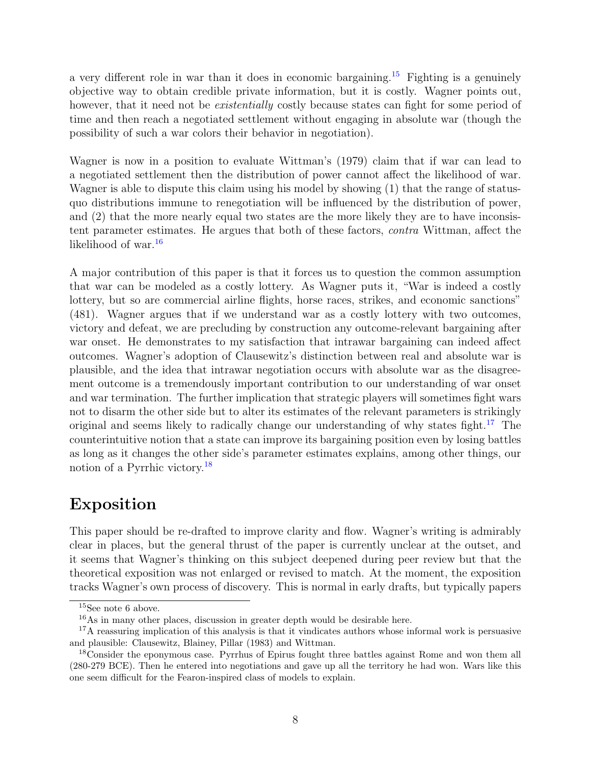a very different role in war than it does in economic bargaining.<sup>[15](#page-0-0)</sup> Fighting is a genuinely objective way to obtain credible private information, but it is costly. Wagner points out, however, that it need not be *existentially* costly because states can fight for some period of time and then reach a negotiated settlement without engaging in absolute war (though the possibility of such a war colors their behavior in negotiation).

Wagner is now in a position to evaluate Wittman's (1979) claim that if war can lead to a negotiated settlement then the distribution of power cannot affect the likelihood of war. Wagner is able to dispute this claim using his model by showing (1) that the range of statusquo distributions immune to renegotiation will be influenced by the distribution of power, and (2) that the more nearly equal two states are the more likely they are to have inconsistent parameter estimates. He argues that both of these factors, contra Wittman, affect the likelihood of war.<sup>[16](#page-0-0)</sup>

A major contribution of this paper is that it forces us to question the common assumption that war can be modeled as a costly lottery. As Wagner puts it, "War is indeed a costly lottery, but so are commercial airline flights, horse races, strikes, and economic sanctions" (481). Wagner argues that if we understand war as a costly lottery with two outcomes, victory and defeat, we are precluding by construction any outcome-relevant bargaining after war onset. He demonstrates to my satisfaction that intrawar bargaining can indeed affect outcomes. Wagner's adoption of Clausewitz's distinction between real and absolute war is plausible, and the idea that intrawar negotiation occurs with absolute war as the disagreement outcome is a tremendously important contribution to our understanding of war onset and war termination. The further implication that strategic players will sometimes fight wars not to disarm the other side but to alter its estimates of the relevant parameters is strikingly original and seems likely to radically change our understanding of why states fight.<sup>[17](#page-0-0)</sup> The counterintuitive notion that a state can improve its bargaining position even by losing battles as long as it changes the other side's parameter estimates explains, among other things, our notion of a Pyrrhic victory.[18](#page-0-0)

## Exposition

This paper should be re-drafted to improve clarity and flow. Wagner's writing is admirably clear in places, but the general thrust of the paper is currently unclear at the outset, and it seems that Wagner's thinking on this subject deepened during peer review but that the theoretical exposition was not enlarged or revised to match. At the moment, the exposition tracks Wagner's own process of discovery. This is normal in early drafts, but typically papers

 $15$ See note 6 above.

<sup>16</sup>As in many other places, discussion in greater depth would be desirable here.

<sup>&</sup>lt;sup>17</sup>A reassuring implication of this analysis is that it vindicates authors whose informal work is persuasive and plausible: Clausewitz, Blainey, Pillar (1983) and Wittman.

<sup>&</sup>lt;sup>18</sup>Consider the eponymous case. Pyrrhus of Epirus fought three battles against Rome and won them all (280-279 BCE). Then he entered into negotiations and gave up all the territory he had won. Wars like this one seem difficult for the Fearon-inspired class of models to explain.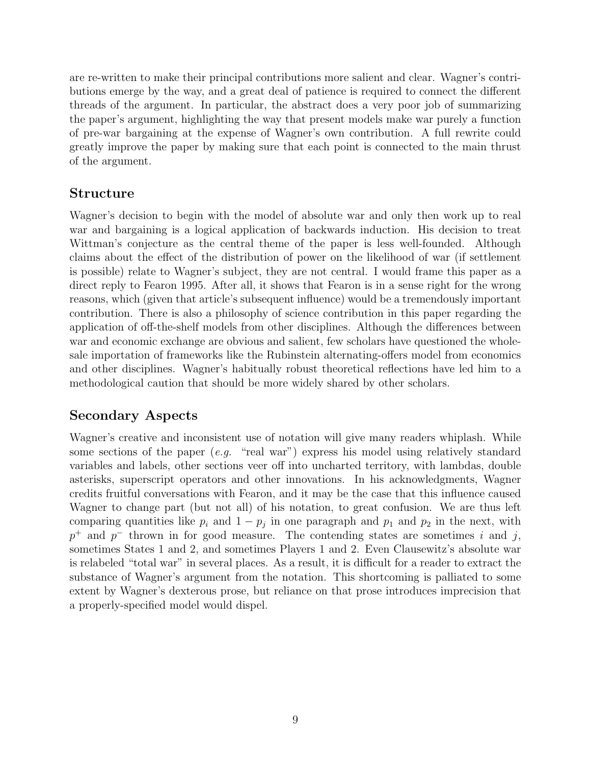are re-written to make their principal contributions more salient and clear. Wagner's contributions emerge by the way, and a great deal of patience is required to connect the different threads of the argument. In particular, the abstract does a very poor job of summarizing the paper's argument, highlighting the way that present models make war purely a function of pre-war bargaining at the expense of Wagner's own contribution. A full rewrite could greatly improve the paper by making sure that each point is connected to the main thrust of the argument.

#### Structure

Wagner's decision to begin with the model of absolute war and only then work up to real war and bargaining is a logical application of backwards induction. His decision to treat Wittman's conjecture as the central theme of the paper is less well-founded. Although claims about the effect of the distribution of power on the likelihood of war (if settlement is possible) relate to Wagner's subject, they are not central. I would frame this paper as a direct reply to Fearon 1995. After all, it shows that Fearon is in a sense right for the wrong reasons, which (given that article's subsequent influence) would be a tremendously important contribution. There is also a philosophy of science contribution in this paper regarding the application of off-the-shelf models from other disciplines. Although the differences between war and economic exchange are obvious and salient, few scholars have questioned the wholesale importation of frameworks like the Rubinstein alternating-offers model from economics and other disciplines. Wagner's habitually robust theoretical reflections have led him to a methodological caution that should be more widely shared by other scholars.

### Secondary Aspects

Wagner's creative and inconsistent use of notation will give many readers whiplash. While some sections of the paper  $(e.g.$  "real war") express his model using relatively standard variables and labels, other sections veer off into uncharted territory, with lambdas, double asterisks, superscript operators and other innovations. In his acknowledgments, Wagner credits fruitful conversations with Fearon, and it may be the case that this influence caused Wagner to change part (but not all) of his notation, to great confusion. We are thus left comparing quantities like  $p_i$  and  $1 - p_j$  in one paragraph and  $p_1$  and  $p_2$  in the next, with  $p^+$  and  $p^-$  thrown in for good measure. The contending states are sometimes i and j, sometimes States 1 and 2, and sometimes Players 1 and 2. Even Clausewitz's absolute war is relabeled "total war" in several places. As a result, it is difficult for a reader to extract the substance of Wagner's argument from the notation. This shortcoming is palliated to some extent by Wagner's dexterous prose, but reliance on that prose introduces imprecision that a properly-specified model would dispel.